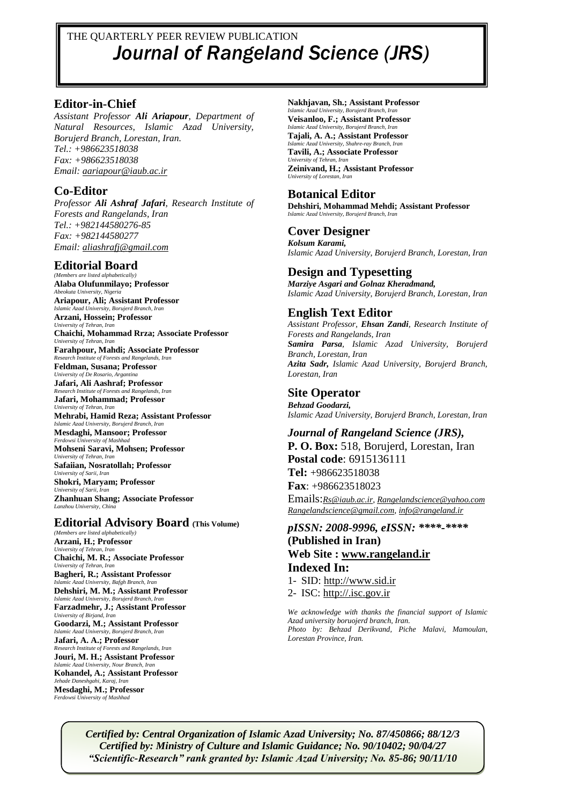# THE QUARTERLY PEER REVIEW PUBLICATION *Journal of Rangeland Science (JRS)*

#### **Editor-in-Chief**

*Assistant Professor Ali Ariapour, Department of Natural Resources, Islamic Azad University, Borujerd Branch, Lorestan, Iran. Tel.: +986623518038 Fax: +986623518038 Email: [aariapour@iaub.ac.ir](mailto:aariapour@iaub.ac.ir)*

#### **Co-Editor**

*Professor Ali Ashraf Jafari, Research Institute of Forests and Rangelands, Iran Tel.: +982144580276-85 Fax: +982144580277 Email: [aliashrafj@gmail.com](mailto:aliashrafj@gmail.com)*

#### **Editorial Board**

*(Members are listed alphabetically)* **Alaba Olufunmilayo; Professor** *Abeokuta University, Nigeria* **Ariapour, Ali; Assistant Professor** *Islamic Azad University, Borujerd Branch, Iran* **Arzani, Hossein; Professor** *University of Tehran, Iran* **Chaichi, Mohammad Rrza; Associate Professor** *University of Tehran, Iran* **Farahpour, Mahdi; Associate Professor** *Research Institute of Forests and Rangelands, Iran* **Feldman, Susana; Professor** *University of De Rosario, Argan* **Jafari, Ali Aashraf; Professor** *Research Institute of Forests and Rangelands, Iran* **Jafari, Mohammad; Professor** *University of Tehran, Iran* **Mehrabi, Hamid Reza; Assistant Professor** *Islamic Azad University, Borujerd Branch, Iran* **Mesdaghi, Mansoor; Professor** *Ferdowsi University of Mashhad* **Mohseni Saravi, Mohsen; Professor** *University of Tehran, Ira* **Safaiian, Nosratollah; Professor** *University of Sarii, Iran* **Shokri, Maryam; Professor** *University of Sarii, Iran* **Zhanhuan Shang; Associate Professor** *Lanzhou University, China*

#### **Editorial Advisory Board (This Volume)**

*(Members are listed alphabetically)* **Arzani, H.; Professor** *University of Tehran, In* **Chaichi, M. R.; Associate Professor** *University of Tehran, Iran* **Bagheri, R.; Assistant Professor** *Islamic Azad University, Bafgh Branch, Iran* **Dehshiri, M. M.; Assistant Professor** *Islamic Azad University, Borujerd Branch, Iran* **Farzadmehr, J.; Assistant Professor** *University of Birjand, Iran* **Goodarzi, M.; Assistant Professor** *Islamic Azad University, Borujerd Branch, Iran* **Jafari, A. A.; Professor** *Research Institute of Forests and Rangelands, Iran* **Jouri, M. H.; Assistant Professor** *Islamic Azad University, Nour Branch, Iran* **Kohandel, A.; Assistant Professor** *Jehade Daneshgahi, Karaj, Iran* **Mesdaghi, M.; Professor** *Ferdowsi University of Mas* 

#### **Nakhjavan, Sh.; Assistant Professor**

*Islamic Azad University, Borujerd Branch, Iran* **Veisanloo, F.; Assistant Professor** *Islamic Azad University, Borujerd Branch, Iran* **Tajali, A. A.; Assistant Professor**

*Islamic Azad University, Shahre-ray Branch, Iran* **Tavili, A.; Associate Professor**  *University of Tehran, Iran* **Zeinivand, H.; Assistant Professor** *University of Lorestan, Iran*

#### **Botanical Editor**

**Dehshiri, Mohammad Mehdi; Assistant Professor** *Islamic Azad University, Borujerd Branch, Iran*

#### **Cover Designer**

*Kolsum Karami, Islamic Azad University, Borujerd Branch, Lorestan, Iran*

## **Design and Typesetting**

*Marziye Asgari and Golnaz Kheradmand, Islamic Azad University, Borujerd Branch, Lorestan, Iran*

# **English Text Editor**

*Assistant Professor, Ehsan Zandi, Research Institute of Forests and Rangelands, Iran Samira Parsa, Islamic Azad University, Borujerd Branch, Lorestan, Iran Azita Sadr, Islamic Azad University, Borujerd Branch, Lorestan, Iran*

## **Site Operator**

*Behzad Goodarzi, Islamic Azad University, Borujerd Branch, Lorestan, Iran*

*Journal of Rangeland Science (JRS),* **P. O. Box:** 518, Borujerd, Lorestan, Iran **Postal code**: 6915136111 **Tel:** +986623518038 **Fax**: +986623518023

Emails:*[Rs@iaub.ac.ir,](mailto:Rs@iaub.ac.ir) [Rangelandscience@yahoo.com](mailto:Rangelandscience@yahoo.com) [Rangelandscience@gmail.com,](mailto:Rangelandscience@gmail.com) [info@rangeland.ir](mailto:info@rangeland.ir)*

# *pISSN: 2008-9996, eISSN: \*\*\*\*-\*\*\*\** **(Published in Iran) Web Site : [www.rangeland.ir](http://www.rangeland.ir/) Indexed In:**

1- SID: [http://www.sid.ir](http://www.sid.ir/)

2- ISC: [http://.isc.gov.ir](http://mjl.isc.gov.ir/)

*We acknowledge with thanks the financial support of Islamic Azad university boruojerd branch, Iran. Photo by: Behzad Derikvand, Piche Malavi, Mamoulan, Lorestan Province, Iran.*

*Certified by: Central Organization of Islamic Azad University; No. 87/450866; 88/12/3 Certified by: Ministry of Culture and Islamic Guidance; No. 90/10402; 90/04/27 "Scientific-Research" rank granted by: Islamic Azad University; No. 85-86; 90/11/10*